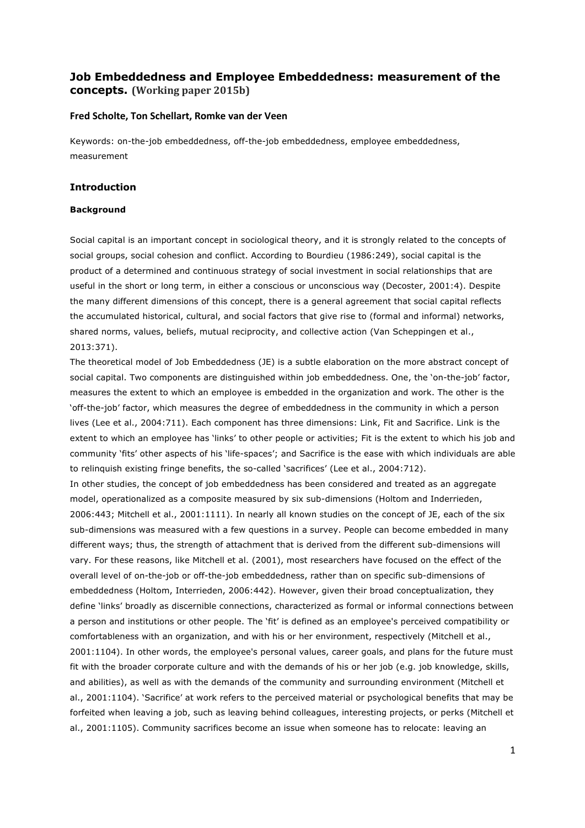# **Job Embeddedness and Employee Embeddedness: measurement of the concepts.** (Working paper 2015b)

## **Fred Scholte, Ton Schellart, Romke van der Veen**

Keywords: on-the-job embeddedness, off-the-job embeddedness, employee embeddedness, measurement

## **Introduction**

## **Background**

Social capital is an important concept in sociological theory, and it is strongly related to the concepts of social groups, social cohesion and conflict. According to Bourdieu (1986:249), social capital is the product of a determined and continuous strategy of social investment in social relationships that are useful in the short or long term, in either a conscious or unconscious way (Decoster, 2001:4). Despite the many different dimensions of this concept, there is a general agreement that social capital reflects the accumulated historical, cultural, and social factors that give rise to (formal and informal) networks, shared norms, values, beliefs, mutual reciprocity, and collective action (Van Scheppingen et al., 2013:371).

The theoretical model of Job Embeddedness (JE) is a subtle elaboration on the more abstract concept of social capital. Two components are distinguished within job embeddedness. One, the 'on-the-job' factor, measures the extent to which an employee is embedded in the organization and work. The other is the 'off-the-job' factor, which measures the degree of embeddedness in the community in which a person lives (Lee et al., 2004:711). Each component has three dimensions: Link, Fit and Sacrifice. Link is the extent to which an employee has 'links' to other people or activities; Fit is the extent to which his job and community 'fits' other aspects of his 'life-spaces'; and Sacrifice is the ease with which individuals are able to relinquish existing fringe benefits, the so-called 'sacrifices' (Lee et al., 2004:712).

In other studies, the concept of job embeddedness has been considered and treated as an aggregate model, operationalized as a composite measured by six sub-dimensions (Holtom and Inderrieden, 2006:443; Mitchell et al., 2001:1111). In nearly all known studies on the concept of JE, each of the six sub-dimensions was measured with a few questions in a survey. People can become embedded in many different ways; thus, the strength of attachment that is derived from the different sub-dimensions will vary. For these reasons, like Mitchell et al. (2001), most researchers have focused on the effect of the overall level of on-the-job or off-the-job embeddedness, rather than on specific sub-dimensions of embeddedness (Holtom, Interrieden, 2006:442). However, given their broad conceptualization, they define 'links' broadly as discernible connections, characterized as formal or informal connections between a person and institutions or other people. The 'fit' is defined as an employee's perceived compatibility or comfortableness with an organization, and with his or her environment, respectively (Mitchell et al., 2001:1104). In other words, the employee's personal values, career goals, and plans for the future must fit with the broader corporate culture and with the demands of his or her job (e.g. job knowledge, skills, and abilities), as well as with the demands of the community and surrounding environment (Mitchell et al., 2001:1104). 'Sacrifice' at work refers to the perceived material or psychological benefits that may be forfeited when leaving a job, such as leaving behind colleagues, interesting projects, or perks (Mitchell et al., 2001:1105). Community sacrifices become an issue when someone has to relocate: leaving an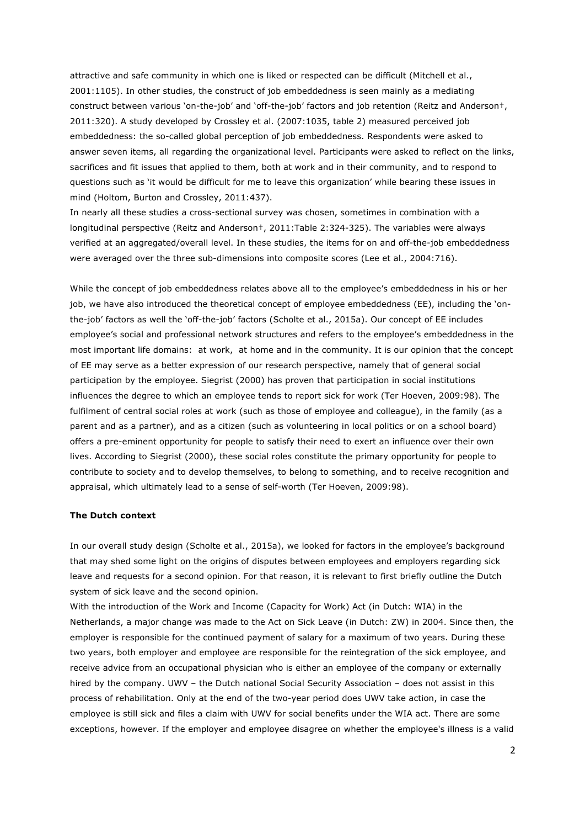attractive and safe community in which one is liked or respected can be difficult (Mitchell et al., 2001:1105). In other studies, the construct of job embeddedness is seen mainly as a mediating construct between various 'on-the-job' and 'off-the-job' factors and job retention (Reitz and Anderson†, 2011:320). A study developed by Crossley et al. (2007:1035, table 2) measured perceived job embeddedness: the so-called global perception of job embeddedness. Respondents were asked to answer seven items, all regarding the organizational level. Participants were asked to reflect on the links, sacrifices and fit issues that applied to them, both at work and in their community, and to respond to questions such as 'it would be difficult for me to leave this organization' while bearing these issues in mind (Holtom, Burton and Crossley, 2011:437).

In nearly all these studies a cross-sectional survey was chosen, sometimes in combination with a longitudinal perspective (Reitz and Anderson†, 2011:Table 2:324-325). The variables were always verified at an aggregated/overall level. In these studies, the items for on and off-the-job embeddedness were averaged over the three sub-dimensions into composite scores (Lee et al., 2004:716).

While the concept of job embeddedness relates above all to the employee's embeddedness in his or her job, we have also introduced the theoretical concept of employee embeddedness (EE), including the 'onthe-job' factors as well the 'off-the-job' factors (Scholte et al., 2015a). Our concept of EE includes employee's social and professional network structures and refers to the employee's embeddedness in the most important life domains: at work, at home and in the community. It is our opinion that the concept of EE may serve as a better expression of our research perspective, namely that of general social participation by the employee. Siegrist (2000) has proven that participation in social institutions influences the degree to which an employee tends to report sick for work (Ter Hoeven, 2009:98). The fulfilment of central social roles at work (such as those of employee and colleague), in the family (as a parent and as a partner), and as a citizen (such as volunteering in local politics or on a school board) offers a pre-eminent opportunity for people to satisfy their need to exert an influence over their own lives. According to Siegrist (2000), these social roles constitute the primary opportunity for people to contribute to society and to develop themselves, to belong to something, and to receive recognition and appraisal, which ultimately lead to a sense of self-worth (Ter Hoeven, 2009:98).

## **The Dutch context**

In our overall study design (Scholte et al., 2015a), we looked for factors in the employee's background that may shed some light on the origins of disputes between employees and employers regarding sick leave and requests for a second opinion. For that reason, it is relevant to first briefly outline the Dutch system of sick leave and the second opinion.

With the introduction of the Work and Income (Capacity for Work) Act (in Dutch: WIA) in the Netherlands, a major change was made to the Act on Sick Leave (in Dutch: ZW) in 2004. Since then, the employer is responsible for the continued payment of salary for a maximum of two years. During these two years, both employer and employee are responsible for the reintegration of the sick employee, and receive advice from an occupational physician who is either an employee of the company or externally hired by the company. UWV – the Dutch national Social Security Association – does not assist in this process of rehabilitation. Only at the end of the two-year period does UWV take action, in case the employee is still sick and files a claim with UWV for social benefits under the WIA act. There are some exceptions, however. If the employer and employee disagree on whether the employee's illness is a valid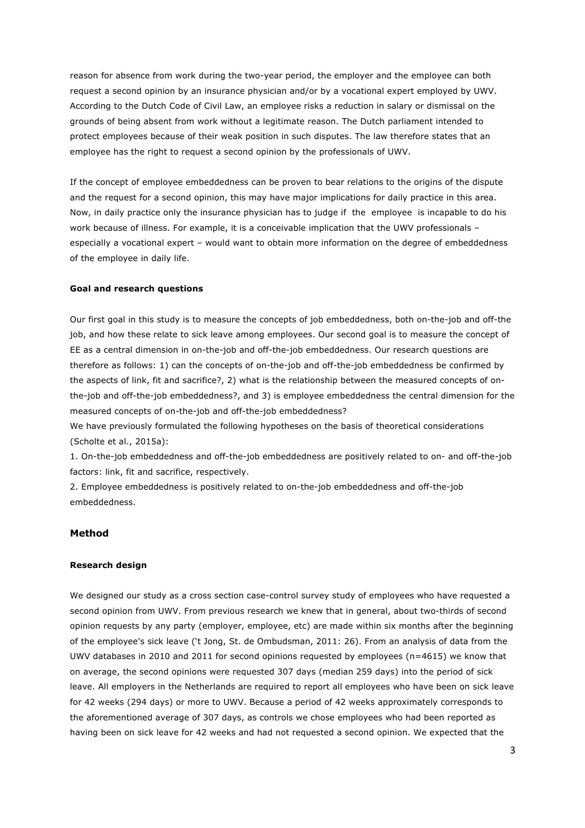reason for absence from work during the two-year period, the employer and the employee can both request a second opinion by an insurance physician and/or by a vocational expert employed by UWV. According to the Dutch Code of Civil Law, an employee risks a reduction in salary or dismissal on the grounds of being absent from work without a legitimate reason. The Dutch parliament intended to protect employees because of their weak position in such disputes. The law therefore states that an employee has the right to request a second opinion by the professionals of UWV.

If the concept of employee embeddedness can be proven to bear relations to the origins of the dispute and the request for a second opinion, this may have major implications for daily practice in this area. Now, in daily practice only the insurance physician has to judge if the employee is incapable to do his work because of illness. For example, it is a conceivable implication that the UWV professionals – especially a vocational expert – would want to obtain more information on the degree of embeddedness of the employee in daily life.

## **Goal and research questions**

Our first goal in this study is to measure the concepts of job embeddedness, both on-the-job and off-the job, and how these relate to sick leave among employees. Our second goal is to measure the concept of EE as a central dimension in on-the-job and off-the-job embeddedness. Our research questions are therefore as follows: 1) can the concepts of on-the-job and off-the-job embeddedness be confirmed by the aspects of link, fit and sacrifice?, 2) what is the relationship between the measured concepts of onthe-job and off-the-job embeddedness?, and 3) is employee embeddedness the central dimension for the measured concepts of on-the-job and off-the-job embeddedness?

We have previously formulated the following hypotheses on the basis of theoretical considerations (Scholte et al., 2015a):

1. On-the-job embeddedness and off-the-job embeddedness are positively related to on- and off-the-job factors: link, fit and sacrifice, respectively.

2. Employee embeddedness is positively related to on-the-job embeddedness and off-the-job embeddedness.

## **Method**

## **Research design**

We designed our study as a cross section case-control survey study of employees who have requested a second opinion from UWV. From previous research we knew that in general, about two-thirds of second opinion requests by any party (employer, employee, etc) are made within six months after the beginning of the employee's sick leave ('t Jong, St. de Ombudsman, 2011: 26). From an analysis of data from the UWV databases in 2010 and 2011 for second opinions requested by employees (n=4615) we know that on average, the second opinions were requested 307 days (median 259 days) into the period of sick leave. All employers in the Netherlands are required to report all employees who have been on sick leave for 42 weeks (294 days) or more to UWV. Because a period of 42 weeks approximately corresponds to the aforementioned average of 307 days, as controls we chose employees who had been reported as having been on sick leave for 42 weeks and had not requested a second opinion. We expected that the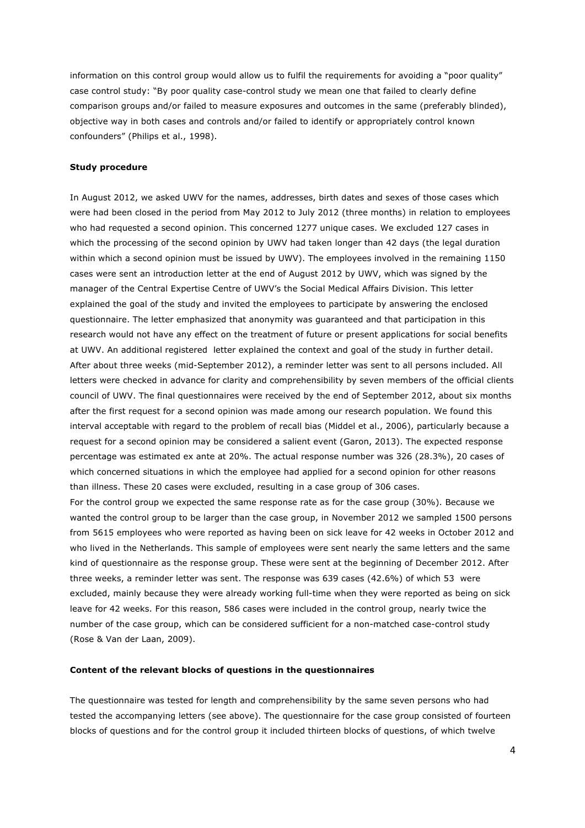information on this control group would allow us to fulfil the requirements for avoiding a "poor quality" case control study: "By poor quality case-control study we mean one that failed to clearly define comparison groups and/or failed to measure exposures and outcomes in the same (preferably blinded), objective way in both cases and controls and/or failed to identify or appropriately control known confounders" (Philips et al., 1998).

## **Study procedure**

In August 2012, we asked UWV for the names, addresses, birth dates and sexes of those cases which were had been closed in the period from May 2012 to July 2012 (three months) in relation to employees who had requested a second opinion. This concerned 1277 unique cases. We excluded 127 cases in which the processing of the second opinion by UWV had taken longer than 42 days (the legal duration within which a second opinion must be issued by UWV). The employees involved in the remaining 1150 cases were sent an introduction letter at the end of August 2012 by UWV, which was signed by the manager of the Central Expertise Centre of UWV's the Social Medical Affairs Division. This letter explained the goal of the study and invited the employees to participate by answering the enclosed questionnaire. The letter emphasized that anonymity was guaranteed and that participation in this research would not have any effect on the treatment of future or present applications for social benefits at UWV. An additional registered letter explained the context and goal of the study in further detail. After about three weeks (mid-September 2012), a reminder letter was sent to all persons included. All letters were checked in advance for clarity and comprehensibility by seven members of the official clients council of UWV. The final questionnaires were received by the end of September 2012, about six months after the first request for a second opinion was made among our research population. We found this interval acceptable with regard to the problem of recall bias (Middel et al., 2006), particularly because a request for a second opinion may be considered a salient event (Garon, 2013). The expected response percentage was estimated ex ante at 20%. The actual response number was 326 (28.3%), 20 cases of which concerned situations in which the employee had applied for a second opinion for other reasons than illness. These 20 cases were excluded, resulting in a case group of 306 cases. For the control group we expected the same response rate as for the case group (30%). Because we wanted the control group to be larger than the case group, in November 2012 we sampled 1500 persons from 5615 employees who were reported as having been on sick leave for 42 weeks in October 2012 and

who lived in the Netherlands. This sample of employees were sent nearly the same letters and the same kind of questionnaire as the response group. These were sent at the beginning of December 2012. After three weeks, a reminder letter was sent. The response was 639 cases (42.6%) of which 53 were excluded, mainly because they were already working full-time when they were reported as being on sick leave for 42 weeks. For this reason, 586 cases were included in the control group, nearly twice the number of the case group, which can be considered sufficient for a non-matched case-control study (Rose & Van der Laan, 2009).

#### **Content of the relevant blocks of questions in the questionnaires**

The questionnaire was tested for length and comprehensibility by the same seven persons who had tested the accompanying letters (see above). The questionnaire for the case group consisted of fourteen blocks of questions and for the control group it included thirteen blocks of questions, of which twelve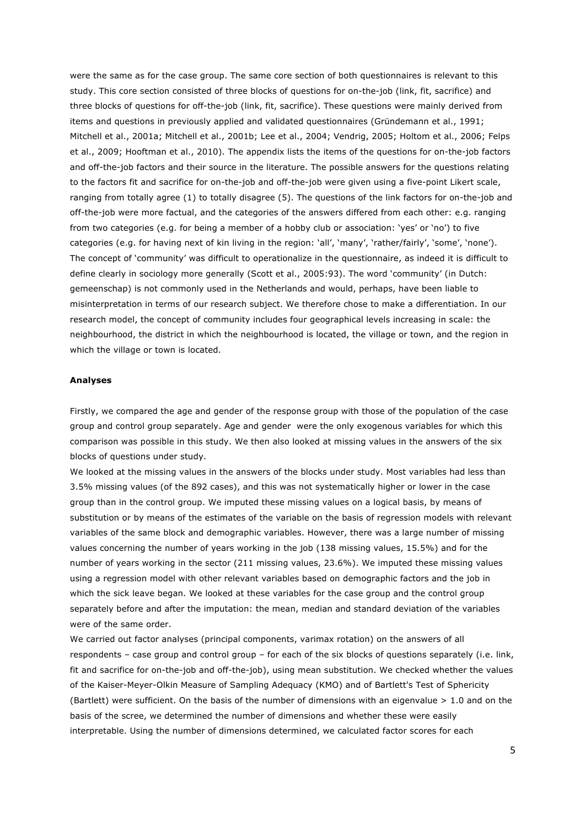were the same as for the case group. The same core section of both questionnaires is relevant to this study. This core section consisted of three blocks of questions for on-the-job (link, fit, sacrifice) and three blocks of questions for off-the-job (link, fit, sacrifice). These questions were mainly derived from items and questions in previously applied and validated questionnaires (Gründemann et al., 1991; Mitchell et al., 2001a; Mitchell et al., 2001b; Lee et al., 2004; Vendrig, 2005; Holtom et al., 2006; Felps et al., 2009; Hooftman et al., 2010). The appendix lists the items of the questions for on-the-job factors and off-the-job factors and their source in the literature. The possible answers for the questions relating to the factors fit and sacrifice for on-the-job and off-the-job were given using a five-point Likert scale, ranging from totally agree (1) to totally disagree (5). The questions of the link factors for on-the-job and off-the-job were more factual, and the categories of the answers differed from each other: e.g. ranging from two categories (e.g. for being a member of a hobby club or association: 'yes' or 'no') to five categories (e.g. for having next of kin living in the region: 'all', 'many', 'rather/fairly', 'some', 'none'). The concept of 'community' was difficult to operationalize in the questionnaire, as indeed it is difficult to define clearly in sociology more generally (Scott et al., 2005:93). The word 'community' (in Dutch: gemeenschap) is not commonly used in the Netherlands and would, perhaps, have been liable to misinterpretation in terms of our research subject. We therefore chose to make a differentiation. In our research model, the concept of community includes four geographical levels increasing in scale: the neighbourhood, the district in which the neighbourhood is located, the village or town, and the region in which the village or town is located.

## **Analyses**

Firstly, we compared the age and gender of the response group with those of the population of the case group and control group separately. Age and gender were the only exogenous variables for which this comparison was possible in this study. We then also looked at missing values in the answers of the six blocks of questions under study.

We looked at the missing values in the answers of the blocks under study. Most variables had less than 3.5% missing values (of the 892 cases), and this was not systematically higher or lower in the case group than in the control group. We imputed these missing values on a logical basis, by means of substitution or by means of the estimates of the variable on the basis of regression models with relevant variables of the same block and demographic variables. However, there was a large number of missing values concerning the number of years working in the job (138 missing values, 15.5%) and for the number of years working in the sector (211 missing values, 23.6%). We imputed these missing values using a regression model with other relevant variables based on demographic factors and the job in which the sick leave began. We looked at these variables for the case group and the control group separately before and after the imputation: the mean, median and standard deviation of the variables were of the same order.

We carried out factor analyses (principal components, varimax rotation) on the answers of all respondents – case group and control group – for each of the six blocks of questions separately (i.e. link, fit and sacrifice for on-the-job and off-the-job), using mean substitution. We checked whether the values of the Kaiser-Meyer-Olkin Measure of Sampling Adequacy (KMO) and of Bartlett's Test of Sphericity (Bartlett) were sufficient. On the basis of the number of dimensions with an eigenvalue > 1.0 and on the basis of the scree, we determined the number of dimensions and whether these were easily interpretable. Using the number of dimensions determined, we calculated factor scores for each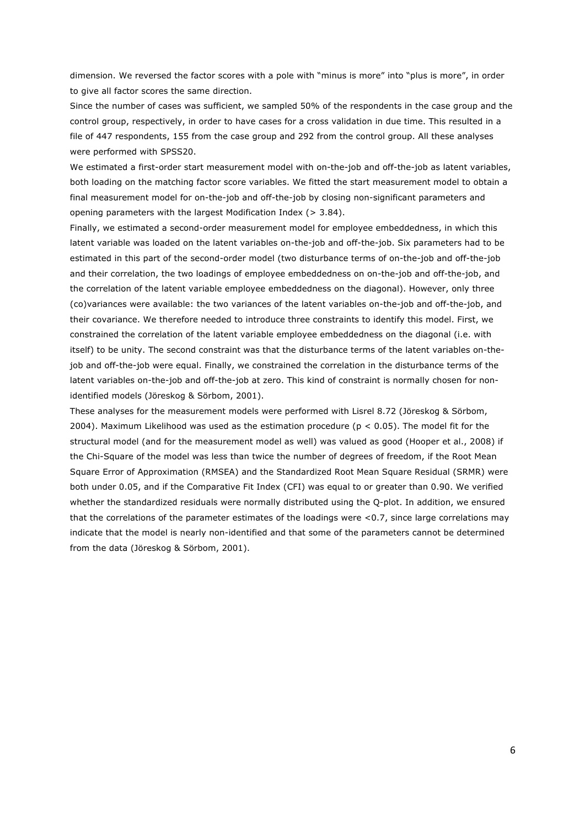dimension. We reversed the factor scores with a pole with "minus is more" into "plus is more", in order to give all factor scores the same direction.

Since the number of cases was sufficient, we sampled 50% of the respondents in the case group and the control group, respectively, in order to have cases for a cross validation in due time. This resulted in a file of 447 respondents, 155 from the case group and 292 from the control group. All these analyses were performed with SPSS20.

We estimated a first-order start measurement model with on-the-job and off-the-job as latent variables, both loading on the matching factor score variables. We fitted the start measurement model to obtain a final measurement model for on-the-job and off-the-job by closing non-significant parameters and opening parameters with the largest Modification Index (> 3.84).

Finally, we estimated a second-order measurement model for employee embeddedness, in which this latent variable was loaded on the latent variables on-the-job and off-the-job. Six parameters had to be estimated in this part of the second-order model (two disturbance terms of on-the-job and off-the-job and their correlation, the two loadings of employee embeddedness on on-the-job and off-the-job, and the correlation of the latent variable employee embeddedness on the diagonal). However, only three (co)variances were available: the two variances of the latent variables on-the-job and off-the-job, and their covariance. We therefore needed to introduce three constraints to identify this model. First, we constrained the correlation of the latent variable employee embeddedness on the diagonal (i.e. with itself) to be unity. The second constraint was that the disturbance terms of the latent variables on-thejob and off-the-job were equal. Finally, we constrained the correlation in the disturbance terms of the latent variables on-the-job and off-the-job at zero. This kind of constraint is normally chosen for nonidentified models (Jöreskog & Sörbom, 2001).

These analyses for the measurement models were performed with Lisrel 8.72 (Jöreskog & Sörbom, 2004). Maximum Likelihood was used as the estimation procedure ( $p < 0.05$ ). The model fit for the structural model (and for the measurement model as well) was valued as good (Hooper et al., 2008) if the Chi-Square of the model was less than twice the number of degrees of freedom, if the Root Mean Square Error of Approximation (RMSEA) and the Standardized Root Mean Square Residual (SRMR) were both under 0.05, and if the Comparative Fit Index (CFI) was equal to or greater than 0.90. We verified whether the standardized residuals were normally distributed using the Q-plot. In addition, we ensured that the correlations of the parameter estimates of the loadings were <0.7, since large correlations may indicate that the model is nearly non-identified and that some of the parameters cannot be determined from the data (Jöreskog & Sörbom, 2001).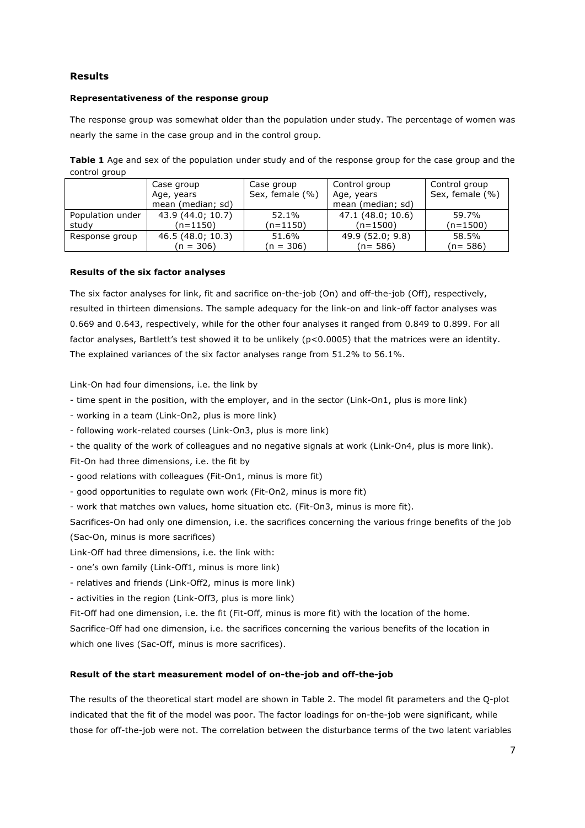## **Results**

## **Representativeness of the response group**

The response group was somewhat older than the population under study. The percentage of women was nearly the same in the case group and in the control group.

**Table 1** Age and sex of the population under study and of the response group for the case group and the control group

|                  | Case group        | Case group      | Control group     | Control group   |
|------------------|-------------------|-----------------|-------------------|-----------------|
|                  | Age, years        | Sex, female (%) | Age, years        | Sex, female (%) |
|                  | mean (median; sd) |                 | mean (median; sd) |                 |
| Population under | 43.9 (44.0; 10.7) | 52.1%           | 47.1 (48.0; 10.6) | 59.7%           |
| study            | (n=1150)          | (n=1150)        | $(n=1500)$        | (n=1500)        |
| Response group   | 46.5(48.0; 10.3)  | 51.6%           | 49.9(52.0; 9.8)   | 58.5%           |
|                  | (n = 306)         | (n = 306)       | $(n = 586)$       | (n= 586)        |

#### **Results of the six factor analyses**

The six factor analyses for link, fit and sacrifice on-the-job (On) and off-the-job (Off), respectively, resulted in thirteen dimensions. The sample adequacy for the link-on and link-off factor analyses was 0.669 and 0.643, respectively, while for the other four analyses it ranged from 0.849 to 0.899. For all factor analyses, Bartlett's test showed it to be unlikely (p<0.0005) that the matrices were an identity. The explained variances of the six factor analyses range from 51.2% to 56.1%.

Link-On had four dimensions, i.e. the link by

- time spent in the position, with the employer, and in the sector (Link-On1, plus is more link)

- working in a team (Link-On2, plus is more link)

- following work-related courses (Link-On3, plus is more link)

- the quality of the work of colleagues and no negative signals at work (Link-On4, plus is more link).

Fit-On had three dimensions, i.e. the fit by

- good relations with colleagues (Fit-On1, minus is more fit)

- good opportunities to regulate own work (Fit-On2, minus is more fit)

- work that matches own values, home situation etc. (Fit-On3, minus is more fit).

Sacrifices-On had only one dimension, i.e. the sacrifices concerning the various fringe benefits of the job (Sac-On, minus is more sacrifices)

- Link-Off had three dimensions, i.e. the link with:
- one's own family (Link-Off1, minus is more link)

- relatives and friends (Link-Off2, minus is more link)

- activities in the region (Link-Off3, plus is more link)

Fit-Off had one dimension, i.e. the fit (Fit-Off, minus is more fit) with the location of the home.

Sacrifice-Off had one dimension, i.e. the sacrifices concerning the various benefits of the location in which one lives (Sac-Off, minus is more sacrifices).

## **Result of the start measurement model of on-the-job and off-the-job**

The results of the theoretical start model are shown in Table 2. The model fit parameters and the Q-plot indicated that the fit of the model was poor. The factor loadings for on-the-job were significant, while those for off-the-job were not. The correlation between the disturbance terms of the two latent variables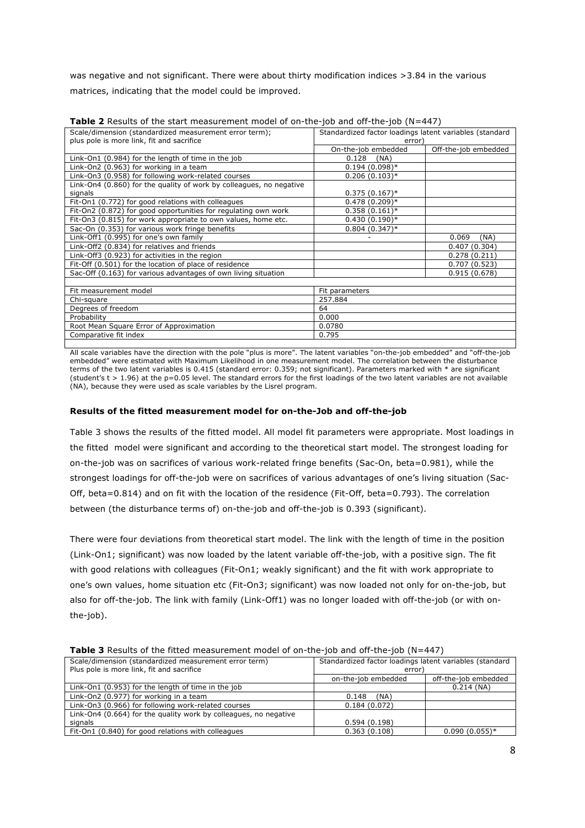was negative and not significant. There were about thirty modification indices >3.84 in the various matrices, indicating that the model could be improved.

| Scale/dimension (standardized measurement error term);              | Standardized factor loadings latent variables (standard |                      |
|---------------------------------------------------------------------|---------------------------------------------------------|----------------------|
| plus pole is more link, fit and sacrifice                           | error)                                                  |                      |
|                                                                     | On-the-job embedded                                     | Off-the-job embedded |
| Link-On1 (0.984) for the length of time in the job                  | 0.128<br>(NA)                                           |                      |
| Link-On2 (0.963) for working in a team                              | $0.194(0.098)*$                                         |                      |
| Link-On3 (0.958) for following work-related courses                 | $0.206(0.103)*$                                         |                      |
| Link-On4 (0.860) for the quality of work by colleagues, no negative |                                                         |                      |
| signals                                                             | $0.375(0.167)^*$                                        |                      |
| Fit-On1 (0.772) for good relations with colleagues                  | $0.478(0.209)*$                                         |                      |
| Fit-On2 (0.872) for good opportunities for regulating own work      | $0.358(0.161)^*$                                        |                      |
| Fit-On3 (0.815) for work appropriate to own values, home etc.       | $0.430(0.190)*$                                         |                      |
| Sac-On (0.353) for various work fringe benefits                     | $0.804(0.347)*$                                         |                      |
| Link-Off1 (0.995) for one's own family                              |                                                         | 0.069<br>(NA)        |
| Link-Off2 (0.834) for relatives and friends                         |                                                         | 0.407(0.304)         |
| Link-Off3 (0.923) for activities in the region                      |                                                         | 0.278(0.211)         |
| Fit-Off (0.501) for the location of place of residence              |                                                         | 0.707(0.523)         |
| Sac-Off (0.163) for various advantages of own living situation      |                                                         | 0.915(0.678)         |
|                                                                     |                                                         |                      |
| Fit measurement model                                               | Fit parameters                                          |                      |
| Chi-square                                                          | 257.884                                                 |                      |
| Degrees of freedom                                                  | 64                                                      |                      |
| Probability                                                         | 0.000                                                   |                      |
| Root Mean Square Error of Approximation                             | 0.0780                                                  |                      |
| Comparative fit index                                               | 0.795                                                   |                      |

**Table 2** Results of the start measurement model of on-the-job and off-the-job (N=447)

All scale variables have the direction with the pole "plus is more". The latent variables "on-the-job embedded" and "off-the-job embedded" were estimated with Maximum Likelihood in one measurement model. The correlation between the disturbance terms of the two latent variables is 0.415 (standard error: 0.359; not significant). Parameters marked with \* are significant (student's  $t > 1.96$ ) at the p=0.05 level. The standard errors for the first loadings of the two latent variables are not available (NA), because they were used as scale variables by the Lisrel program.

## **Results of the fitted measurement model for on-the-Job and off-the-job**

Table 3 shows the results of the fitted model. All model fit parameters were appropriate. Most loadings in the fitted model were significant and according to the theoretical start model. The strongest loading for on-the-job was on sacrifices of various work-related fringe benefits (Sac-On, beta=0.981), while the strongest loadings for off-the-job were on sacrifices of various advantages of one's living situation (Sac-Off, beta=0.814) and on fit with the location of the residence (Fit-Off, beta=0.793). The correlation between (the disturbance terms of) on-the-job and off-the-job is 0.393 (significant).

There were four deviations from theoretical start model. The link with the length of time in the position (Link-On1; significant) was now loaded by the latent variable off-the-job, with a positive sign. The fit with good relations with colleagues (Fit-On1; weakly significant) and the fit with work appropriate to one's own values, home situation etc (Fit-On3; significant) was now loaded not only for on-the-job, but also for off-the-job. The link with family (Link-Off1) was no longer loaded with off-the-job (or with onthe-job).

| <b>TWOLC'S</b> Results of the https://www.chiefit.html invasive for the foot and on the foot (N=447) |                                                         |                      |
|------------------------------------------------------------------------------------------------------|---------------------------------------------------------|----------------------|
| Scale/dimension (standardized measurement error term)                                                | Standardized factor loadings latent variables (standard |                      |
| Plus pole is more link, fit and sacrifice                                                            | error)                                                  |                      |
|                                                                                                      | on-the-job embedded                                     | off-the-job embedded |
| Link-On1 (0.953) for the length of time in the job                                                   |                                                         | $0.214$ (NA)         |
| Link-On2 (0.977) for working in a team                                                               | (NA)<br>0.148                                           |                      |
| Link-On3 (0.966) for following work-related courses                                                  | 0.184(0.072)                                            |                      |
| Link-On4 (0.664) for the quality work by colleagues, no negative                                     |                                                         |                      |
| signals                                                                                              | 0.594(0.198)                                            |                      |
| Fit-On1 (0.840) for good relations with colleagues                                                   | 0.363(0.108)                                            | $0.090(0.055)*$      |

**Table 3** Results of the fitted measurement model of on-the-job and off-the-job (N=447)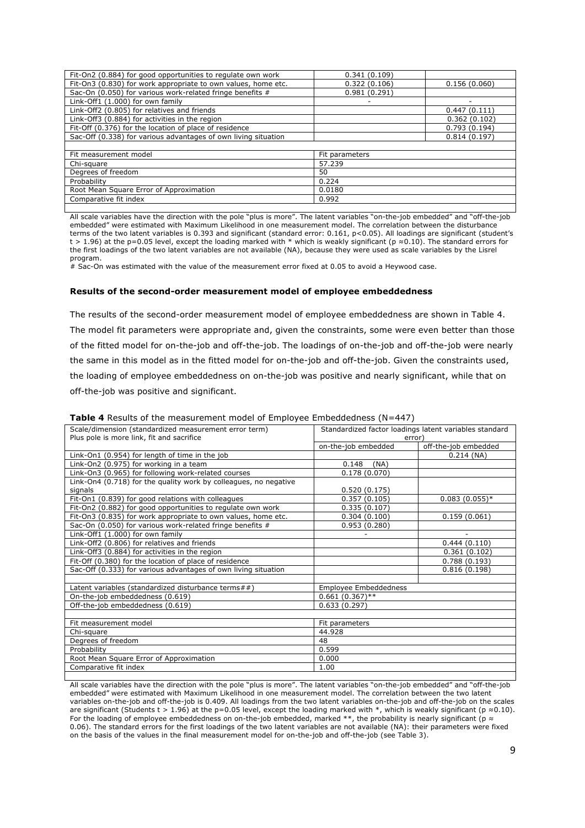| Fit-On2 (0.884) for good opportunities to regulate own work    | 0.341(0.109)   |              |
|----------------------------------------------------------------|----------------|--------------|
| Fit-On3 (0.830) for work appropriate to own values, home etc.  | 0.322(0.106)   | 0.156(0.060) |
| Sac-On (0.050) for various work-related fringe benefits #      | 0.981(0.291)   |              |
| Link-Off1 (1.000) for own family                               |                | -            |
| Link-Off2 (0.805) for relatives and friends                    |                | 0.447(0.111) |
| Link-Off3 (0.884) for activities in the region                 |                | 0.362(0.102) |
| Fit-Off (0.376) for the location of place of residence         |                | 0.793(0.194) |
| Sac-Off (0.338) for various advantages of own living situation |                | 0.814(0.197) |
|                                                                |                |              |
| Fit measurement model                                          | Fit parameters |              |
| Chi-square                                                     | 57.239         |              |
| Degrees of freedom                                             | 50             |              |
| Probability                                                    | 0.224          |              |
| Root Mean Square Error of Approximation                        | 0.0180         |              |
| Comparative fit index                                          | 0.992          |              |
|                                                                |                |              |

All scale variables have the direction with the pole "plus is more". The latent variables "on-the-job embedded" and "off-the-job embedded" were estimated with Maximum Likelihood in one measurement model. The correlation between the disturbance terms of the two latent variables is 0.393 and significant (standard error: 0.161, p<0.05). All loadings are significant (student's t > 1.96) at the p=0.05 level, except the loading marked with \* which is weakly significant (p ≈0.10). The standard errors for the first loadings of the two latent variables are not available (NA), because they were used as scale variables by the Lisrel program.

# Sac-On was estimated with the value of the measurement error fixed at 0.05 to avoid a Heywood case.

#### **Results of the second-order measurement model of employee embeddedness**

The results of the second-order measurement model of employee embeddedness are shown in Table 4. The model fit parameters were appropriate and, given the constraints, some were even better than those of the fitted model for on-the-job and off-the-job. The loadings of on-the-job and off-the-job were nearly the same in this model as in the fitted model for on-the-job and off-the-job. Given the constraints used, the loading of employee embeddedness on on-the-job was positive and nearly significant, while that on off-the-job was positive and significant.

| Scale/dimension (standardized measurement error term)<br>Plus pole is more link, fit and sacrifice | error)                | Standardized factor loadings latent variables standard |
|----------------------------------------------------------------------------------------------------|-----------------------|--------------------------------------------------------|
|                                                                                                    | on-the-job embedded   | off-the-job embedded                                   |
| Link-On1 (0.954) for length of time in the job                                                     |                       | $0.214$ (NA)                                           |
|                                                                                                    |                       |                                                        |
| Link-On2 (0.975) for working in a team                                                             | 0.148<br>(NA)         |                                                        |
| Link-On3 (0.965) for following work-related courses                                                | 0.178(0.070)          |                                                        |
| Link-On4 (0.718) for the quality work by colleagues, no negative                                   |                       |                                                        |
| signals                                                                                            | 0.520(0.175)          |                                                        |
| Fit-On1 (0.839) for good relations with colleagues                                                 | 0.357(0.105)          | $0.083(0.055)*$                                        |
| Fit-On2 (0.882) for good opportunities to regulate own work                                        | 0.335(0.107)          |                                                        |
| Fit-On3 (0.835) for work appropriate to own values, home etc.                                      | 0.304(0.100)          | 0.159(0.061)                                           |
| Sac-On (0.050) for various work-related fringe benefits #                                          | 0.953(0.280)          |                                                        |
| Link-Off1 (1.000) for own family                                                                   |                       |                                                        |
| Link-Off2 (0.806) for relatives and friends                                                        |                       | 0.444(0.110)                                           |
| Link-Off3 (0.884) for activities in the region                                                     |                       | 0.361(0.102)                                           |
| Fit-Off (0.380) for the location of place of residence                                             |                       | 0.788(0.193)                                           |
| Sac-Off (0.333) for various advantages of own living situation                                     |                       | 0.816(0.198)                                           |
|                                                                                                    |                       |                                                        |
| Latent variables (standardized disturbance terms##)                                                | Employee Embeddedness |                                                        |
| On-the-job embeddedness (0.619)                                                                    | $0.661(0.367)$ **     |                                                        |
| Off-the-job embeddedness (0.619)                                                                   | 0.633(0.297)          |                                                        |
|                                                                                                    |                       |                                                        |
| Fit measurement model                                                                              | Fit parameters        |                                                        |
| Chi-square                                                                                         | 44.928                |                                                        |
| Degrees of freedom                                                                                 | 48                    |                                                        |
| Probability                                                                                        | 0.599                 |                                                        |
| Root Mean Square Error of Approximation                                                            | 0.000                 |                                                        |
| Comparative fit index                                                                              | 1.00                  |                                                        |
|                                                                                                    |                       |                                                        |

**Table 4** Results of the measurement model of Employee Embeddedness (N=447)

All scale variables have the direction with the pole "plus is more". The latent variables "on-the-job embedded" and "off-the-job embedded" were estimated with Maximum Likelihood in one measurement model. The correlation between the two latent variables on-the-job and off-the-job is 0.409. All loadings from the two latent variables on-the-job and off-the-job on the scales are significant (Students t > 1.96) at the p=0.05 level, except the loading marked with \*, which is weakly significant (p  $\approx 0.10$ ). For the loading of employee embeddedness on on-the-job embedded, marked \*\*, the probability is nearly significant (p  $\approx$ 0.06). The standard errors for the first loadings of the two latent variables are not available (NA): their parameters were fixed on the basis of the values in the final measurement model for on-the-job and off-the-job (see Table 3).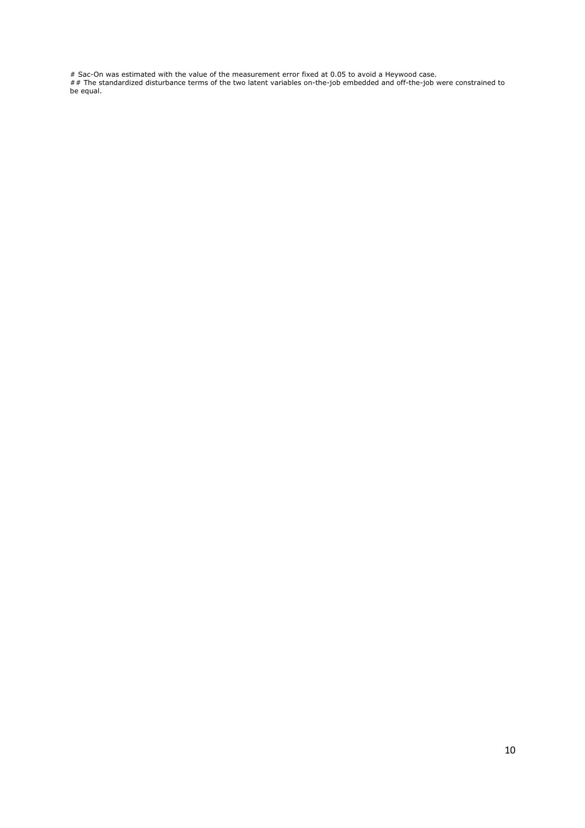# Sac-On was estimated with the value of the measurement error fixed at 0.05 to avoid a Heywood case.

## The standardized disturbance terms of the two latent variables on-the-job embedded and off-the-job were constrained to be equal.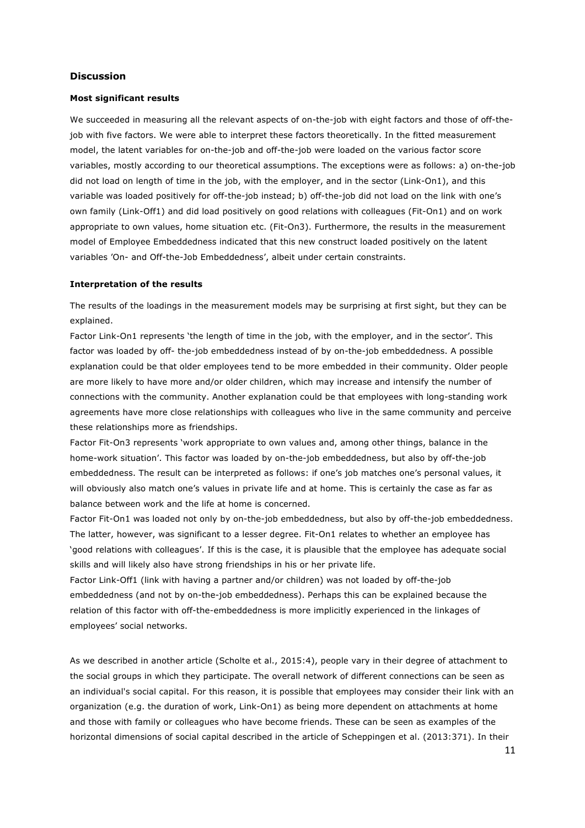## **Discussion**

#### **Most significant results**

We succeeded in measuring all the relevant aspects of on-the-job with eight factors and those of off-thejob with five factors. We were able to interpret these factors theoretically. In the fitted measurement model, the latent variables for on-the-job and off-the-job were loaded on the various factor score variables, mostly according to our theoretical assumptions. The exceptions were as follows: a) on-the-job did not load on length of time in the job, with the employer, and in the sector (Link-On1), and this variable was loaded positively for off-the-job instead; b) off-the-job did not load on the link with one's own family (Link-Off1) and did load positively on good relations with colleagues (Fit-On1) and on work appropriate to own values, home situation etc. (Fit-On3). Furthermore, the results in the measurement model of Employee Embeddedness indicated that this new construct loaded positively on the latent variables 'On- and Off-the-Job Embeddedness', albeit under certain constraints.

## **Interpretation of the results**

The results of the loadings in the measurement models may be surprising at first sight, but they can be explained.

Factor Link-On1 represents 'the length of time in the job, with the employer, and in the sector'. This factor was loaded by off- the-job embeddedness instead of by on-the-job embeddedness. A possible explanation could be that older employees tend to be more embedded in their community. Older people are more likely to have more and/or older children, which may increase and intensify the number of connections with the community. Another explanation could be that employees with long-standing work agreements have more close relationships with colleagues who live in the same community and perceive these relationships more as friendships.

Factor Fit-On3 represents 'work appropriate to own values and, among other things, balance in the home-work situation'. This factor was loaded by on-the-job embeddedness, but also by off-the-job embeddedness. The result can be interpreted as follows: if one's job matches one's personal values, it will obviously also match one's values in private life and at home. This is certainly the case as far as balance between work and the life at home is concerned.

Factor Fit-On1 was loaded not only by on-the-job embeddedness, but also by off-the-job embeddedness. The latter, however, was significant to a lesser degree. Fit-On1 relates to whether an employee has 'good relations with colleagues'. If this is the case, it is plausible that the employee has adequate social skills and will likely also have strong friendships in his or her private life.

Factor Link-Off1 (link with having a partner and/or children) was not loaded by off-the-job embeddedness (and not by on-the-job embeddedness). Perhaps this can be explained because the relation of this factor with off-the-embeddedness is more implicitly experienced in the linkages of employees' social networks.

As we described in another article (Scholte et al., 2015:4), people vary in their degree of attachment to the social groups in which they participate. The overall network of different connections can be seen as an individual's social capital. For this reason, it is possible that employees may consider their link with an organization (e.g. the duration of work, Link-On1) as being more dependent on attachments at home and those with family or colleagues who have become friends. These can be seen as examples of the horizontal dimensions of social capital described in the article of Scheppingen et al. (2013:371). In their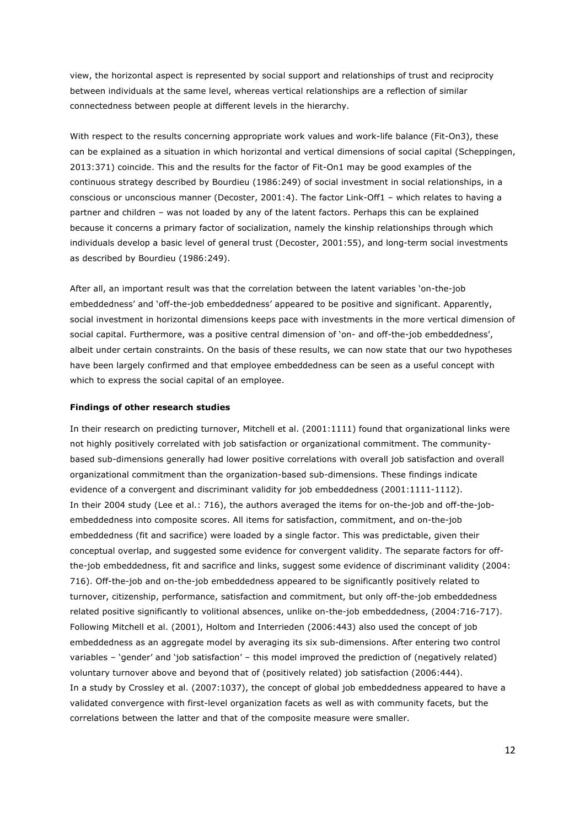view, the horizontal aspect is represented by social support and relationships of trust and reciprocity between individuals at the same level, whereas vertical relationships are a reflection of similar connectedness between people at different levels in the hierarchy.

With respect to the results concerning appropriate work values and work-life balance (Fit-On3), these can be explained as a situation in which horizontal and vertical dimensions of social capital (Scheppingen, 2013:371) coincide. This and the results for the factor of Fit-On1 may be good examples of the continuous strategy described by Bourdieu (1986:249) of social investment in social relationships, in a conscious or unconscious manner (Decoster, 2001:4). The factor Link-Off1 – which relates to having a partner and children – was not loaded by any of the latent factors. Perhaps this can be explained because it concerns a primary factor of socialization, namely the kinship relationships through which individuals develop a basic level of general trust (Decoster, 2001:55), and long-term social investments as described by Bourdieu (1986:249).

After all, an important result was that the correlation between the latent variables 'on-the-job embeddedness' and 'off-the-job embeddedness' appeared to be positive and significant. Apparently, social investment in horizontal dimensions keeps pace with investments in the more vertical dimension of social capital. Furthermore, was a positive central dimension of 'on- and off-the-job embeddedness', albeit under certain constraints. On the basis of these results, we can now state that our two hypotheses have been largely confirmed and that employee embeddedness can be seen as a useful concept with which to express the social capital of an employee.

#### **Findings of other research studies**

In their research on predicting turnover, Mitchell et al. (2001:1111) found that organizational links were not highly positively correlated with job satisfaction or organizational commitment. The communitybased sub-dimensions generally had lower positive correlations with overall job satisfaction and overall organizational commitment than the organization-based sub-dimensions. These findings indicate evidence of a convergent and discriminant validity for job embeddedness (2001:1111-1112). In their 2004 study (Lee et al.: 716), the authors averaged the items for on-the-job and off-the-jobembeddedness into composite scores. All items for satisfaction, commitment, and on-the-job embeddedness (fit and sacrifice) were loaded by a single factor. This was predictable, given their conceptual overlap, and suggested some evidence for convergent validity. The separate factors for offthe-job embeddedness, fit and sacrifice and links, suggest some evidence of discriminant validity (2004: 716). Off-the-job and on-the-job embeddedness appeared to be significantly positively related to turnover, citizenship, performance, satisfaction and commitment, but only off-the-job embeddedness related positive significantly to volitional absences, unlike on-the-job embeddedness, (2004:716-717). Following Mitchell et al. (2001), Holtom and Interrieden (2006:443) also used the concept of job embeddedness as an aggregate model by averaging its six sub-dimensions. After entering two control variables – 'gender' and 'job satisfaction' – this model improved the prediction of (negatively related) voluntary turnover above and beyond that of (positively related) job satisfaction (2006:444). In a study by Crossley et al. (2007:1037), the concept of global job embeddedness appeared to have a validated convergence with first-level organization facets as well as with community facets, but the correlations between the latter and that of the composite measure were smaller.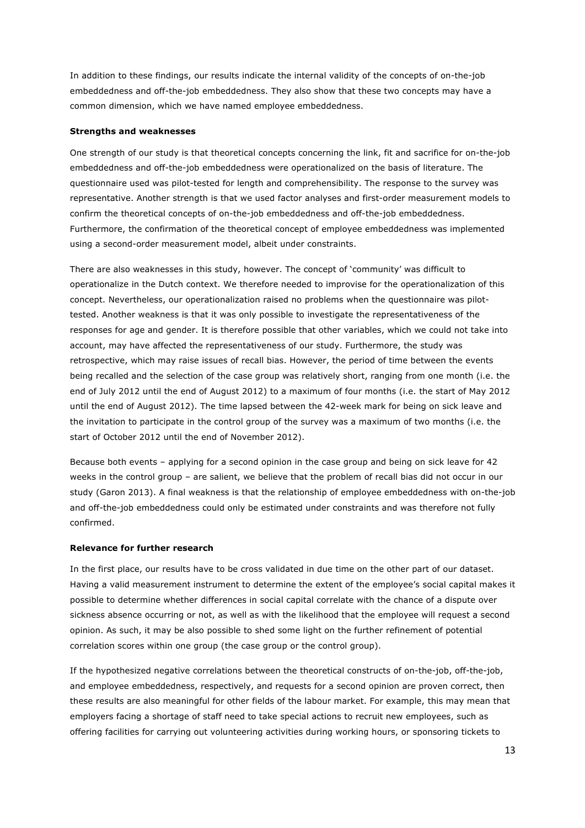In addition to these findings, our results indicate the internal validity of the concepts of on-the-job embeddedness and off-the-job embeddedness. They also show that these two concepts may have a common dimension, which we have named employee embeddedness.

## **Strengths and weaknesses**

One strength of our study is that theoretical concepts concerning the link, fit and sacrifice for on-the-job embeddedness and off-the-job embeddedness were operationalized on the basis of literature. The questionnaire used was pilot-tested for length and comprehensibility. The response to the survey was representative. Another strength is that we used factor analyses and first-order measurement models to confirm the theoretical concepts of on-the-job embeddedness and off-the-job embeddedness. Furthermore, the confirmation of the theoretical concept of employee embeddedness was implemented using a second-order measurement model, albeit under constraints.

There are also weaknesses in this study, however. The concept of 'community' was difficult to operationalize in the Dutch context. We therefore needed to improvise for the operationalization of this concept. Nevertheless, our operationalization raised no problems when the questionnaire was pilottested. Another weakness is that it was only possible to investigate the representativeness of the responses for age and gender. It is therefore possible that other variables, which we could not take into account, may have affected the representativeness of our study. Furthermore, the study was retrospective, which may raise issues of recall bias. However, the period of time between the events being recalled and the selection of the case group was relatively short, ranging from one month (i.e. the end of July 2012 until the end of August 2012) to a maximum of four months (i.e. the start of May 2012 until the end of August 2012). The time lapsed between the 42-week mark for being on sick leave and the invitation to participate in the control group of the survey was a maximum of two months (i.e. the start of October 2012 until the end of November 2012).

Because both events – applying for a second opinion in the case group and being on sick leave for 42 weeks in the control group – are salient, we believe that the problem of recall bias did not occur in our study (Garon 2013). A final weakness is that the relationship of employee embeddedness with on-the-job and off-the-job embeddedness could only be estimated under constraints and was therefore not fully confirmed.

## **Relevance for further research**

In the first place, our results have to be cross validated in due time on the other part of our dataset. Having a valid measurement instrument to determine the extent of the employee's social capital makes it possible to determine whether differences in social capital correlate with the chance of a dispute over sickness absence occurring or not, as well as with the likelihood that the employee will request a second opinion. As such, it may be also possible to shed some light on the further refinement of potential correlation scores within one group (the case group or the control group).

If the hypothesized negative correlations between the theoretical constructs of on-the-job, off-the-job, and employee embeddedness, respectively, and requests for a second opinion are proven correct, then these results are also meaningful for other fields of the labour market. For example, this may mean that employers facing a shortage of staff need to take special actions to recruit new employees, such as offering facilities for carrying out volunteering activities during working hours, or sponsoring tickets to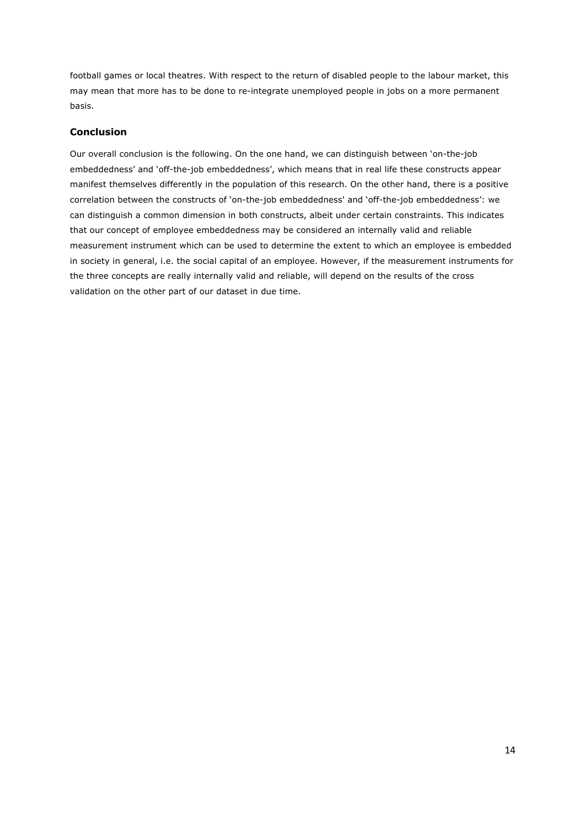football games or local theatres. With respect to the return of disabled people to the labour market, this may mean that more has to be done to re-integrate unemployed people in jobs on a more permanent basis.

## **Conclusion**

Our overall conclusion is the following. On the one hand, we can distinguish between 'on-the-job embeddedness' and 'off-the-job embeddedness', which means that in real life these constructs appear manifest themselves differently in the population of this research. On the other hand, there is a positive correlation between the constructs of 'on-the-job embeddedness' and 'off-the-job embeddedness': we can distinguish a common dimension in both constructs, albeit under certain constraints. This indicates that our concept of employee embeddedness may be considered an internally valid and reliable measurement instrument which can be used to determine the extent to which an employee is embedded in society in general, i.e. the social capital of an employee. However, if the measurement instruments for the three concepts are really internally valid and reliable, will depend on the results of the cross validation on the other part of our dataset in due time.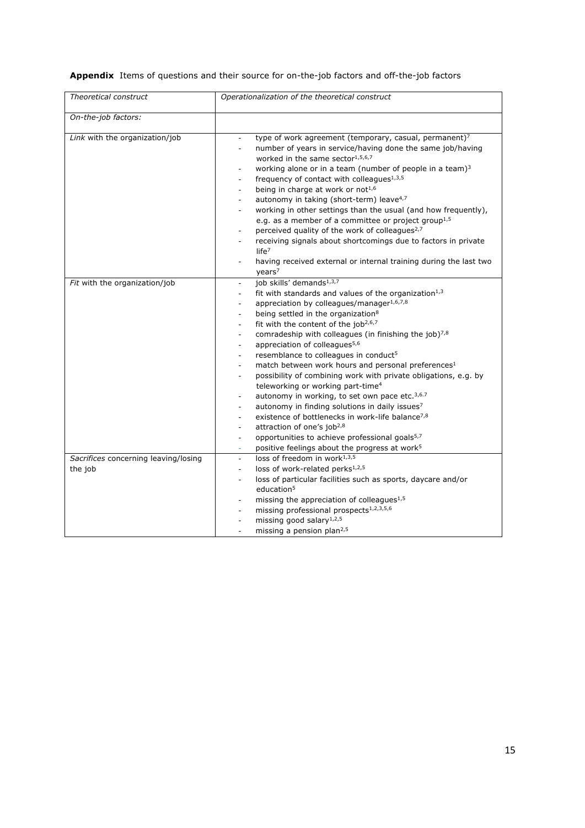**Appendix** Items of questions and their source for on-the-job factors and off-the-job factors

| Theoretical construct                           | Operationalization of the theoretical construct                                                                                                                                                                                                                                                                                                                                                                                                                                                                                                                                                                                                                                                                                                                                                                                                                                                                                                                                                                                                                                                                                                                                   |
|-------------------------------------------------|-----------------------------------------------------------------------------------------------------------------------------------------------------------------------------------------------------------------------------------------------------------------------------------------------------------------------------------------------------------------------------------------------------------------------------------------------------------------------------------------------------------------------------------------------------------------------------------------------------------------------------------------------------------------------------------------------------------------------------------------------------------------------------------------------------------------------------------------------------------------------------------------------------------------------------------------------------------------------------------------------------------------------------------------------------------------------------------------------------------------------------------------------------------------------------------|
| On-the-job factors:                             |                                                                                                                                                                                                                                                                                                                                                                                                                                                                                                                                                                                                                                                                                                                                                                                                                                                                                                                                                                                                                                                                                                                                                                                   |
| Link with the organization/job                  | type of work agreement (temporary, casual, permanent) <sup>7</sup><br>$\blacksquare$<br>number of years in service/having done the same job/having<br>$\overline{\phantom{a}}$<br>worked in the same sector $1,5,6,7$<br>working alone or in a team (number of people in a team) <sup>3</sup><br>frequency of contact with colleagues <sup>1,3,5</sup><br>$\blacksquare$<br>being in charge at work or not <sup>1,6</sup><br>autonomy in taking (short-term) leave <sup>4,7</sup><br>working in other settings than the usual (and how frequently),<br>e.g. as a member of a committee or project group <sup>1,5</sup><br>perceived quality of the work of colleagues <sup>2,7</sup><br>receiving signals about shortcomings due to factors in private<br>life <sup>7</sup><br>having received external or internal training during the last two<br>$\blacksquare$<br>years <sup>7</sup>                                                                                                                                                                                                                                                                                          |
| Fit with the organization/job                   | job skills' demands <sup>1,3,7</sup><br>$\overline{\phantom{a}}$<br>fit with standards and values of the organization <sup>1,3</sup><br>$\blacksquare$<br>appreciation by colleagues/manager1,6,7,8<br>being settled in the organization <sup>8</sup><br>÷.<br>fit with the content of the job <sup>2,6,7</sup><br>$\overline{a}$<br>comradeship with colleagues (in finishing the job)7,8<br>$\overline{\phantom{a}}$<br>appreciation of colleagues <sup>5,6</sup><br>$\blacksquare$<br>resemblance to colleagues in conduct <sup>5</sup><br>match between work hours and personal preferences <sup>1</sup><br>$\blacksquare$<br>possibility of combining work with private obligations, e.g. by<br>teleworking or working part-time <sup>4</sup><br>autonomy in working, to set own pace etc. <sup>3,6.7</sup><br>autonomy in finding solutions in daily issues7<br>$\overline{\phantom{a}}$<br>existence of bottlenecks in work-life balance <sup>7,8</sup><br>attraction of one's job <sup>2,8</sup><br>opportunities to achieve professional goals <sup>5,7</sup><br>$\overline{\phantom{a}}$<br>positive feelings about the progress at work <sup>5</sup><br>$\blacksquare$ |
| Sacrifices concerning leaving/losing<br>the job | loss of freedom in work <sup>1,3,5</sup><br>$\blacksquare$<br>loss of work-related perks <sup>1,2,5</sup><br>$\overline{\phantom{a}}$<br>loss of particular facilities such as sports, daycare and/or<br>$\blacksquare$<br>education <sup>5</sup><br>missing the appreciation of colleagues <sup>1,5</sup><br>missing professional prospects <sup>1,2,3,5,6</sup><br>missing good salary $1,2,5$<br>$\blacksquare$<br>missing a pension plan <sup>2,5</sup>                                                                                                                                                                                                                                                                                                                                                                                                                                                                                                                                                                                                                                                                                                                       |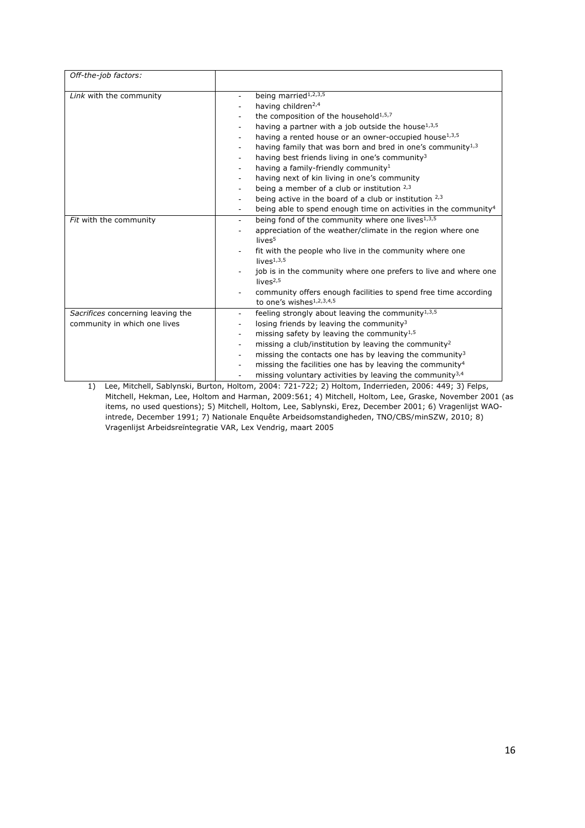| Off-the-job factors:                                              |                                                                                                                                                                                                                                                                                                                                                                                                                                                                                                                                                                                                                      |
|-------------------------------------------------------------------|----------------------------------------------------------------------------------------------------------------------------------------------------------------------------------------------------------------------------------------------------------------------------------------------------------------------------------------------------------------------------------------------------------------------------------------------------------------------------------------------------------------------------------------------------------------------------------------------------------------------|
| Link with the community                                           | being married <sup>1,2,3,5</sup><br>having children <sup>2,4</sup><br>the composition of the household $1,5,7$<br>having a partner with a job outside the house <sup>1,3,5</sup><br>۰.<br>having a rented house or an owner-occupied house <sup>1,3,5</sup><br>having family that was born and bred in one's community <sup>1,3</sup><br>٠<br>having best friends living in one's community <sup>3</sup><br>having a family-friendly community <sup>1</sup><br>having next of kin living in one's community<br>being a member of a club or institution 2,3<br>being active in the board of a club or institution 2,3 |
|                                                                   | being able to spend enough time on activities in the community <sup>4</sup>                                                                                                                                                                                                                                                                                                                                                                                                                                                                                                                                          |
| Fit with the community                                            | being fond of the community where one lives <sup>1,3,5</sup><br>÷.<br>appreciation of the weather/climate in the region where one<br>lives <sup>5</sup><br>fit with the people who live in the community where one<br>lives $1,3,5$<br>job is in the community where one prefers to live and where one<br>lives $2,5$<br>community offers enough facilities to spend free time according<br>to one's wishes $1,2,3,4,5$                                                                                                                                                                                              |
| Sacrifices concerning leaving the<br>community in which one lives | feeling strongly about leaving the community <sup>1,3,5</sup><br>losing friends by leaving the community <sup>3</sup><br>missing safety by leaving the community <sup>1,5</sup><br>missing a club/institution by leaving the community <sup>2</sup><br>missing the contacts one has by leaving the community <sup>3</sup><br>$\overline{\phantom{0}}$<br>missing the facilities one has by leaving the community <sup>4</sup><br>$\overline{\phantom{0}}$<br>missing voluntary activities by leaving the community <sup>3,4</sup>                                                                                    |

1) Lee, Mitchell, Sablynski, Burton, Holtom, 2004: 721-722; 2) Holtom, Inderrieden, 2006: 449; 3) Felps, Mitchell, Hekman, Lee, Holtom and Harman, 2009:561; 4) Mitchell, Holtom, Lee, Graske, November 2001 (as items, no used questions); 5) Mitchell, Holtom, Lee, Sablynski, Erez, December 2001; 6) Vragenlijst WAOintrede, December 1991; 7) Nationale Enquête Arbeidsomstandigheden, TNO/CBS/minSZW, 2010; 8) Vragenlijst Arbeidsreïntegratie VAR, Lex Vendrig, maart 2005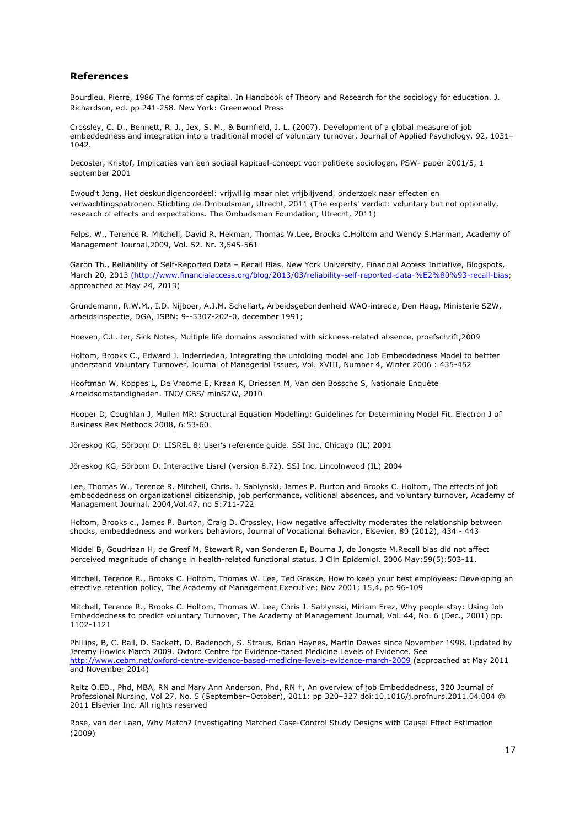## **References**

Bourdieu, Pierre, 1986 The forms of capital. In Handbook of Theory and Research for the sociology for education. J. Richardson, ed. pp 241-258. New York: Greenwood Press

Crossley, C. D., Bennett, R. J., Jex, S. M., & Burnfield, J. L. (2007). Development of a global measure of job embeddedness and integration into a traditional model of voluntary turnover. Journal of Applied Psychology, 92, 1031– 1042.

Decoster, Kristof, Implicaties van een sociaal kapitaal-concept voor politieke sociologen, PSW- paper 2001/5, 1 september 2001

Ewoud't Jong, Het deskundigenoordeel: vrijwillig maar niet vrijblijvend, onderzoek naar effecten en verwachtingspatronen. Stichting de Ombudsman, Utrecht, 2011 (The experts' verdict: voluntary but not optionally, research of effects and expectations. The Ombudsman Foundation, Utrecht, 2011)

Felps, W., Terence R. Mitchell, David R. Hekman, Thomas W.Lee, Brooks C.Holtom and Wendy S.Harman, Academy of Management Journal,2009, Vol. 52. Nr. 3,545-561

Garon Th., Reliability of Self-Reported Data – Recall Bias. New York University, Financial Access Initiative, Blogspots, March 20, 2013 (http://www.financialaccess.org/blog/2013/03/reliability-self-reported-data-%E2%80%93-recall-bias; approached at May 24, 2013)

Gründemann, R.W.M., I.D. Nijboer, A.J.M. Schellart, Arbeidsgebondenheid WAO-intrede, Den Haag, Ministerie SZW, arbeidsinspectie, DGA, ISBN: 9--5307-202-0, december 1991;

Hoeven, C.L. ter, Sick Notes, Multiple life domains associated with sickness-related absence, proefschrift,2009

Holtom, Brooks C., Edward J. Inderrieden, Integrating the unfolding model and Job Embeddedness Model to bettter understand Voluntary Turnover, Journal of Managerial Issues, Vol. XVIII, Number 4, Winter 2006 : 435-452

Hooftman W, Koppes L, De Vroome E, Kraan K, Driessen M, Van den Bossche S, Nationale Enquête Arbeidsomstandigheden. TNO/ CBS/ minSZW, 2010

Hooper D, Coughlan J, Mullen MR: Structural Equation Modelling: Guidelines for Determining Model Fit. Electron J of Business Res Methods 2008, 6:53-60.

Jöreskog KG, Sörbom D: LISREL 8: User's reference guide. SSI Inc, Chicago (IL) 2001

Jöreskog KG, Sörbom D. Interactive Lisrel (version 8.72). SSI Inc, Lincolnwood (IL) 2004

Lee, Thomas W., Terence R. Mitchell, Chris. J. Sablynski, James P. Burton and Brooks C. Holtom, The effects of job embeddedness on organizational citizenship, job performance, volitional absences, and voluntary turnover, Academy of Management Journal, 2004,Vol.47, no 5:711-722

Holtom, Brooks c., James P. Burton, Craig D. Crossley, How negative affectivity moderates the relationship between shocks, embeddedness and workers behaviors, Journal of Vocational Behavior, Elsevier, 80 (2012), 434 - 443

Middel B, Goudriaan H, de Greef M, Stewart R, van Sonderen E, Bouma J, de Jongste M.Recall bias did not affect perceived magnitude of change in health-related functional status. J Clin Epidemiol. 2006 May;59(5):503-11.

Mitchell, Terence R., Brooks C. Holtom, Thomas W. Lee, Ted Graske, How to keep your best employees: Developing an effective retention policy, The Academy of Management Executive; Nov 2001; 15,4, pp 96-109

Mitchell, Terence R., Brooks C. Holtom, Thomas W. Lee, Chris J. Sablynski, Miriam Erez, Why people stay: Using Job Embeddedness to predict voluntary Turnover, The Academy of Management Journal, Vol. 44, No. 6 (Dec., 2001) pp. 1102-1121

Phillips, B, C. Ball, D. Sackett, D. Badenoch, S. Straus, Brian Haynes, Martin Dawes since November 1998. Updated by Jeremy Howick March 2009. Oxford Centre for Evidence-based Medicine Levels of Evidence. See http://www.cebm.net/oxford-centre-evidence-based-medicine-levels-evidence-march-2009 (approached at May 2011 and November 2014)

Reitz O.ED., Phd, MBA, RN and Mary Ann Anderson, Phd, RN †, An overview of job Embeddedness, 320 Journal of Professional Nursing, Vol 27, No. 5 (September–October), 2011: pp 320–327 doi:10.1016/j.profnurs.2011.04.004 © 2011 Elsevier Inc. All rights reserved

Rose, van der Laan, Why Match? Investigating Matched Case-Control Study Designs with Causal Effect Estimation (2009)